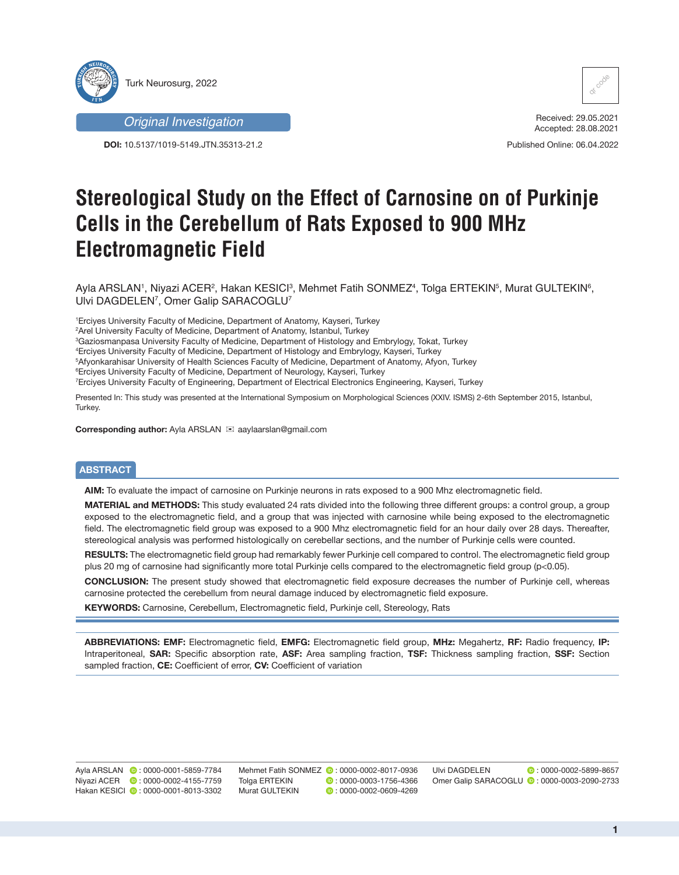

*Original Investigation*

**DOI:** 10.5137/1019-5149.JTN.35313-21.2



Received: 29.05.2021 Accepted: 28.08.2021

Published Online: 06.04.2022

# **Stereological Study on the Effect of Carnosine on of Purkinje Cells in the Cerebellum of Rats Exposed to 900 MHz Electromagnetic Field**

Ayla ARSLAN', Niyazi ACER<sup>2</sup>, Hakan KESICl<sup>3</sup>, Mehmet Fatih SONMEZ<sup>4</sup>, Tolga ERTEKIN<sup>5</sup>, Murat GULTEKIN<sup>6</sup>, Ulvi DAGDELEN7 , Omer Galip SARACOGLU7

1 Erciyes University Faculty of Medicine, Department of Anatomy, Kayseri, Turkey

2 Arel University Faculty of Medicine, Department of Anatomy, Istanbul, Turkey

3 Gaziosmanpasa University Faculty of Medicine, Department of Histology and Embrylogy, Tokat, Turkey

4 Erciyes University Faculty of Medicine, Department of Histology and Embrylogy, Kayseri, Turkey

5 Afyonkarahisar University of Health Sciences Faculty of Medicine, Department of Anatomy, Afyon, Turkey

6 Erciyes University Faculty of Medicine, Department of Neurology, Kayseri, Turkey

7 Erciyes University Faculty of Engineering, Department of Electrical Electronics Engineering, Kayseri, Turkey

Presented In: This study was presented at the International Symposium on Morphological Sciences (XXIV. ISMS) 2-6th September 2015, Istanbul, Turkey.

**Corresponding author:** Ayla ARSLAN <sup>≥</sup> aaylaarslan@gmail.com

## **ABSTRACT**

**AIM:** To evaluate the impact of carnosine on Purkinje neurons in rats exposed to a 900 Mhz electromagnetic field.

**MATERIAL and METHODS:** This study evaluated 24 rats divided into the following three different groups: a control group, a group exposed to the electromagnetic field, and a group that was injected with carnosine while being exposed to the electromagnetic field. The electromagnetic field group was exposed to a 900 Mhz electromagnetic field for an hour daily over 28 days. Thereafter, stereological analysis was performed histologically on cerebellar sections, and the number of Purkinje cells were counted.

**RESULTS:** The electromagnetic field group had remarkably fewer Purkinje cell compared to control. The electromagnetic field group plus 20 mg of carnosine had significantly more total Purkinje cells compared to the electromagnetic field group (p<0.05).

**CONCLUSION:** The present study showed that electromagnetic field exposure decreases the number of Purkinje cell, whereas carnosine protected the cerebellum from neural damage induced by electromagnetic field exposure.

**KEYWORDS:** Carnosine, Cerebellum, Electromagnetic field, Purkinje cell, Stereology, Rats

**ABBREVIATIONS: EMF:** Electromagnetic field, **EMFG:** Electromagnetic field group, **MHz:** Megahertz, **RF:** Radio frequency, **IP:** Intraperitoneal, **SAR:** Specific absorption rate, **ASF:** Area sampling fraction, **TSF:** Thickness sampling fraction, **SSF:** Section sampled fraction, **CE:** Coefficient of error, **CV:** Coefficient of variation

Ayla ARSLAN **:** 0000-0001-5859-7784 Niyazi ACER **:** 0000-0002-4155-7759 Hakan KESICI **D**: 0000-0001-8013-3302

Mehmet Fatih SONMEZ **:** 0000-0002-8017-0936 Tolga ERTEKIN **D**: 0000-0003-1756-4366 Murat GULTEKIN **: 0000-0002-0609-4269** 

Ulvi DAGDELEN **D**: 0000-0002-5899-8657 Omer Galip SARACOGLU <sup>1</sup> : 0000-0003-2090-2733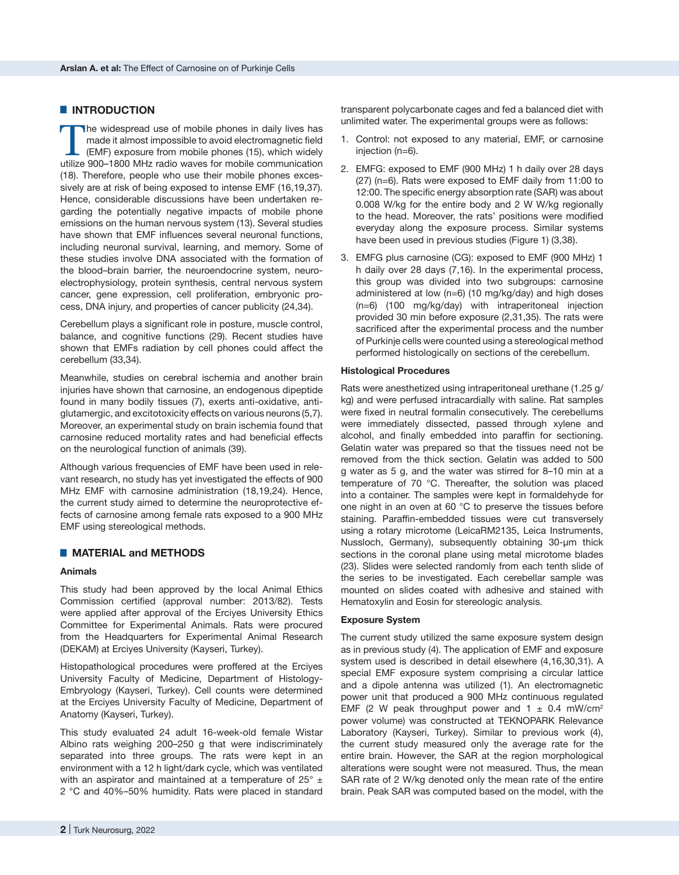# █ **INTRODUCTION**

The widespread use of mobile phones in daily lives has<br>made it almost impossible to avoid electromagnetic field<br>(EMF) exposure from mobile phones (15), which widely<br>utilize 900–1800 MHz radio waves for mobile communication made it almost impossible to avoid electromagnetic field (EMF) exposure from mobile phones (15), which widely utilize 900–1800 MHz radio waves for mobile communication (18). Therefore, people who use their mobile phones excessively are at risk of being exposed to intense EMF (16,19,37). Hence, considerable discussions have been undertaken regarding the potentially negative impacts of mobile phone emissions on the human nervous system (13). Several studies have shown that EMF influences several neuronal functions, including neuronal survival, learning, and memory. Some of these studies involve DNA associated with the formation of the blood–brain barrier, the neuroendocrine system, neuroelectrophysiology, protein synthesis, central nervous system cancer, gene expression, cell proliferation, embryonic process, DNA injury, and properties of cancer publicity (24,34).

Cerebellum plays a significant role in posture, muscle control, balance, and cognitive functions (29). Recent studies have shown that EMFs radiation by cell phones could affect the cerebellum (33,34).

Meanwhile, studies on cerebral ischemia and another brain injuries have shown that carnosine, an endogenous dipeptide found in many bodily tissues (7), exerts anti-oxidative, antiglutamergic, and excitotoxicity effects on various neurons (5,7). Moreover, an experimental study on brain ischemia found that carnosine reduced mortality rates and had beneficial effects on the neurological function of animals (39).

Although various frequencies of EMF have been used in relevant research, no study has yet investigated the effects of 900 MHz EMF with carnosine administration (18,19,24). Hence, the current study aimed to determine the neuroprotective effects of carnosine among female rats exposed to a 900 MHz EMF using stereological methods.

# █ **MATERIAL and METHODS**

## **Animals**

This study had been approved by the local Animal Ethics Commission certified (approval number: 2013/82). Tests were applied after approval of the Erciyes University Ethics Committee for Experimental Animals. Rats were procured from the Headquarters for Experimental Animal Research (DEKAM) at Erciyes University (Kayseri, Turkey).

Histopathological procedures were proffered at the Erciyes University Faculty of Medicine, Department of Histology-Embryology (Kayseri, Turkey). Cell counts were determined at the Erciyes University Faculty of Medicine, Department of Anatomy (Kayseri, Turkey).

This study evaluated 24 adult 16-week-old female Wistar Albino rats weighing 200–250 g that were indiscriminately separated into three groups. The rats were kept in an environment with a 12 h light/dark cycle, which was ventilated with an aspirator and maintained at a temperature of  $25^{\circ}$   $\pm$ 2 °C and 40%–50% humidity. Rats were placed in standard

transparent polycarbonate cages and fed a balanced diet with unlimited water. The experimental groups were as follows:

- 1. Control: not exposed to any material, EMF, or carnosine injection (n=6).
- 2. EMFG: exposed to EMF (900 MHz) 1 h daily over 28 days (27) (n=6). Rats were exposed to EMF daily from 11:00 to 12:00. The specific energy absorption rate (SAR) was about 0.008 W/kg for the entire body and 2 W W/kg regionally to the head. Moreover, the rats' positions were modified everyday along the exposure process. Similar systems have been used in previous studies (Figure 1) (3,38).
- 3. EMFG plus carnosine (CG): exposed to EMF (900 MHz) 1 h daily over 28 days (7,16). In the experimental process, this group was divided into two subgroups: carnosine administered at low (n=6) (10 mg/kg/day) and high doses (n=6) (100 mg/kg/day) with intraperitoneal injection provided 30 min before exposure (2,31,35). The rats were sacrificed after the experimental process and the number of Purkinje cells were counted using a stereological method performed histologically on sections of the cerebellum.

### **Histological Procedures**

Rats were anesthetized using intraperitoneal urethane (1.25 g/ kg) and were perfused intracardially with saline. Rat samples were fixed in neutral formalin consecutively. The cerebellums were immediately dissected, passed through xylene and alcohol, and finally embedded into paraffin for sectioning. Gelatin water was prepared so that the tissues need not be removed from the thick section. Gelatin was added to 500 g water as 5 g, and the water was stirred for 8–10 min at a temperature of 70 °C. Thereafter, the solution was placed into a container. The samples were kept in formaldehyde for one night in an oven at 60 °C to preserve the tissues before staining. Paraffin-embedded tissues were cut transversely using a rotary microtome (LeicaRM2135, Leica Instruments, Nussloch, Germany), subsequently obtaining 30-μm thick sections in the coronal plane using metal microtome blades (23). Slides were selected randomly from each tenth slide of the series to be investigated. Each cerebellar sample was mounted on slides coated with adhesive and stained with Hematoxylin and Eosin for stereologic analysis.

#### **Exposure System**

The current study utilized the same exposure system design as in previous study (4). The application of EMF and exposure system used is described in detail elsewhere (4,16,30,31). A special EMF exposure system comprising a circular lattice and a dipole antenna was utilized (1). An electromagnetic power unit that produced a 900 MHz continuous regulated EMF (2 W peak throughput power and  $1 \pm 0.4$  mW/cm<sup>2</sup> power volume) was constructed at TEKNOPARK Relevance Laboratory (Kayseri, Turkey). Similar to previous work (4), the current study measured only the average rate for the entire brain. However, the SAR at the region morphological alterations were sought were not measured. Thus, the mean SAR rate of 2 W/kg denoted only the mean rate of the entire brain. Peak SAR was computed based on the model, with the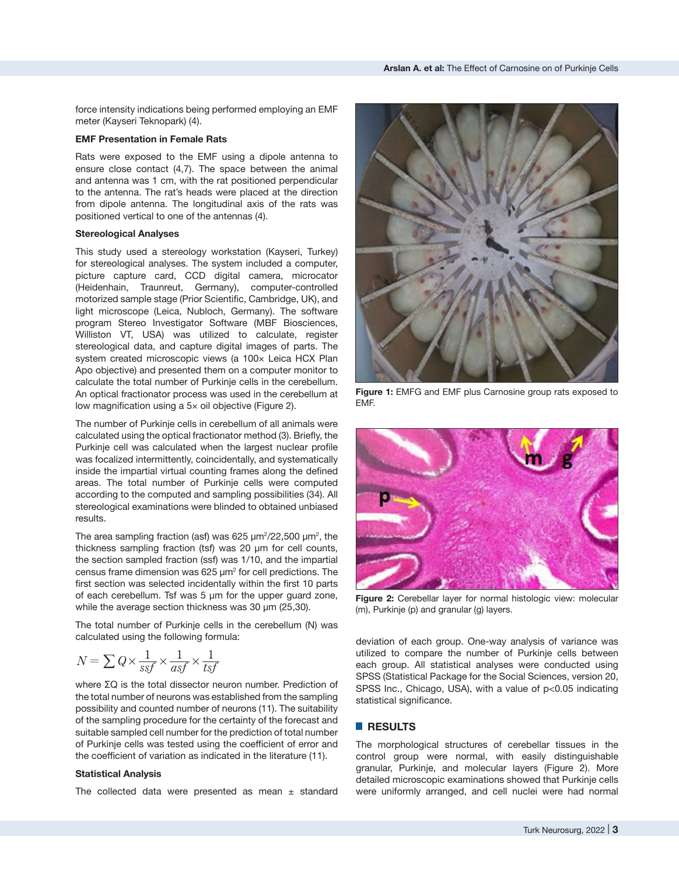force intensity indications being performed employing an EMF meter (Kayseri Teknopark) (4).

#### **EMF Presentation in Female Rats**

Rats were exposed to the EMF using a dipole antenna to ensure close contact (4,7). The space between the animal and antenna was 1 cm, with the rat positioned perpendicular to the antenna. The rat's heads were placed at the direction from dipole antenna. The longitudinal axis of the rats was positioned vertical to one of the antennas (4).

#### **Stereological Analyses**

This study used a stereology workstation (Kayseri, Turkey) for stereological analyses. The system included a computer, picture capture card, CCD digital camera, microcator (Heidenhain, Traunreut, Germany), computer-controlled motorized sample stage (Prior Scientific, Cambridge, UK), and light microscope (Leica, Nubloch, Germany). The software program Stereo Investigator Software (MBF Biosciences, Williston VT, USA) was utilized to calculate, register stereological data, and capture digital images of parts. The system created microscopic views (a 100x Leica HCX Plan Apo objective) and presented them on a computer monitor to calculate the total number of Purkinje cells in the cerebellum. An optical fractionator process was used in the cerebellum at low magnification using a 5× oil objective (Figure 2).

The number of Purkinje cells in cerebellum of all animals were calculated using the optical fractionator method (3). Briefly, the Purkinje cell was calculated when the largest nuclear profile was focalized intermittently, coincidentally, and systematically inside the impartial virtual counting frames along the defined areas. The total number of Purkinje cells were computed according to the computed and sampling possibilities (34). All stereological examinations were blinded to obtained unbiased results.

The area sampling fraction (asf) was 625  $\mu$ m $^{2}/$ 22,500  $\mu$ m $^{2}$ , the thickness sampling fraction (tsf) was 20 μm for cell counts, the section sampled fraction (ssf) was 1/10, and the impartial census frame dimension was 625  $\mu$ m $^2$  for cell predictions. The first section was selected incidentally within the first 10 parts of each cerebellum. Tsf was 5 μm for the upper guard zone, while the average section thickness was 30 μm (25,30).

The total number of Purkinje cells in the cerebellum (N) was calculated using the following formula:

$$
N = \sum Q \times \frac{1}{ssf} \times \frac{1}{asf} \times \frac{1}{tsf}
$$

where ΣQ is the total dissector neuron number. Prediction of the total number of neurons was established from the sampling possibility and counted number of neurons (11). The suitability of the sampling procedure for the certainty of the forecast and suitable sampled cell number for the prediction of total number of Purkinje cells was tested using the coefficient of error and the coefficient of variation as indicated in the literature (11).

#### **Statistical Analysis**

The collected data were presented as mean  $\pm$  standard



**Figure 1:** EMFG and EMF plus Carnosine group rats exposed to EMF.



**Figure 2:** Cerebellar layer for normal histologic view: molecular (m), Purkinje (p) and granular (g) layers.

deviation of each group. One-way analysis of variance was utilized to compare the number of Purkinje cells between each group. All statistical analyses were conducted using SPSS (Statistical Package for the Social Sciences, version 20, SPSS Inc., Chicago, USA), with a value of p<0.05 indicating statistical significance.

## █ **RESULTS**

The morphological structures of cerebellar tissues in the control group were normal, with easily distinguishable granular, Purkinje, and molecular layers (Figure 2). More detailed microscopic examinations showed that Purkinje cells were uniformly arranged, and cell nuclei were had normal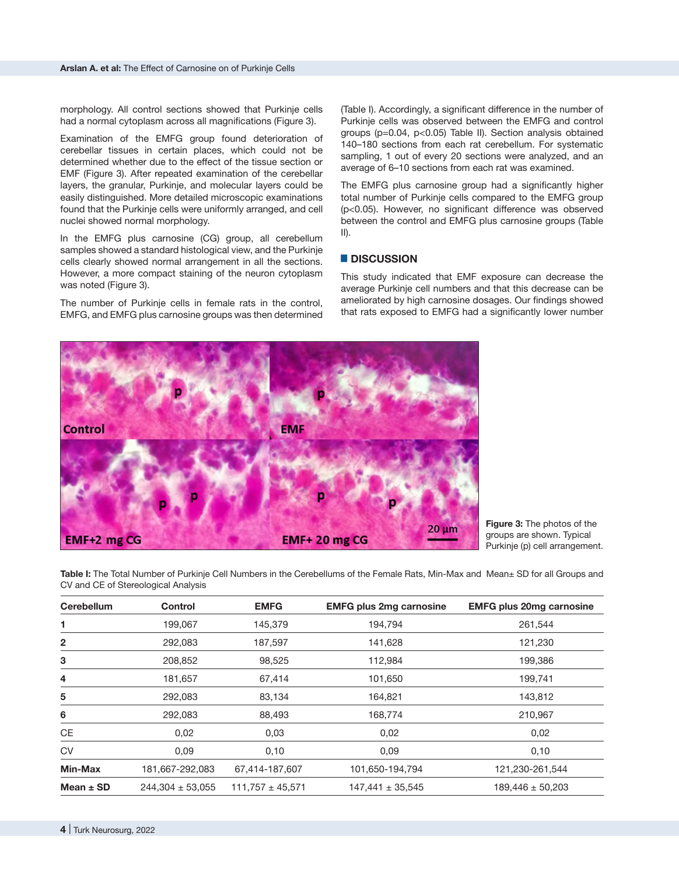morphology. All control sections showed that Purkinje cells had a normal cytoplasm across all magnifications (Figure 3).

Examination of the EMFG group found deterioration of cerebellar tissues in certain places, which could not be determined whether due to the effect of the tissue section or EMF (Figure 3). After repeated examination of the cerebellar layers, the granular, Purkinje, and molecular layers could be easily distinguished. More detailed microscopic examinations found that the Purkinje cells were uniformly arranged, and cell nuclei showed normal morphology.

In the EMFG plus carnosine (CG) group, all cerebellum samples showed a standard histological view, and the Purkinje cells clearly showed normal arrangement in all the sections. However, a more compact staining of the neuron cytoplasm was noted (Figure 3).

The number of Purkinje cells in female rats in the control, EMFG, and EMFG plus carnosine groups was then determined

(Table I). Accordingly, a significant difference in the number of Purkinje cells was observed between the EMFG and control groups (p=0.04, p<0.05) Table II). Section analysis obtained 140–180 sections from each rat cerebellum. For systematic sampling, 1 out of every 20 sections were analyzed, and an average of 6–10 sections from each rat was examined.

The EMFG plus carnosine group had a significantly higher total number of Purkinje cells compared to the EMFG group (p<0.05). However, no significant difference was observed between the control and EMFG plus carnosine groups (Table II).

# █ **DISCUSSION**

This study indicated that EMF exposure can decrease the average Purkinje cell numbers and that this decrease can be ameliorated by high carnosine dosages. Our findings showed that rats exposed to EMFG had a significantly lower number



**Figure 3:** The photos of the groups are shown. Typical Purkinje (p) cell arrangement.

**Table I:** The Total Number of Purkinje Cell Numbers in the Cerebellums of the Female Rats, Min-Max and Mean± SD for all Groups and CV and CE of Stereological Analysis

| <b>Cerebellum</b> | <b>Control</b>       | <b>EMFG</b>          | <b>EMFG plus 2mg carnosine</b> | <b>EMFG plus 20mg carnosine</b> |
|-------------------|----------------------|----------------------|--------------------------------|---------------------------------|
| 1                 | 199,067              | 145,379              | 194,794                        | 261,544                         |
| 2                 | 292,083              | 187,597              | 141,628                        | 121,230                         |
| 3                 | 208,852              | 98,525               | 112,984                        | 199,386                         |
| 4                 | 181,657              | 67,414               | 101,650                        | 199,741                         |
| 5                 | 292,083              | 83,134               | 164,821                        | 143,812                         |
| 6                 | 292,083              | 88,493               | 168,774                        | 210,967                         |
| CE                | 0,02                 | 0,03                 | 0,02                           | 0,02                            |
| <b>CV</b>         | 0,09                 | 0,10                 | 0,09                           | 0,10                            |
| Min-Max           | 181,667-292,083      | 67,414-187,607       | 101,650-194,794                | 121,230-261,544                 |
| Mean $\pm$ SD     | $244,304 \pm 53,055$ | $111,757 \pm 45,571$ | $147,441 \pm 35,545$           | $189,446 \pm 50,203$            |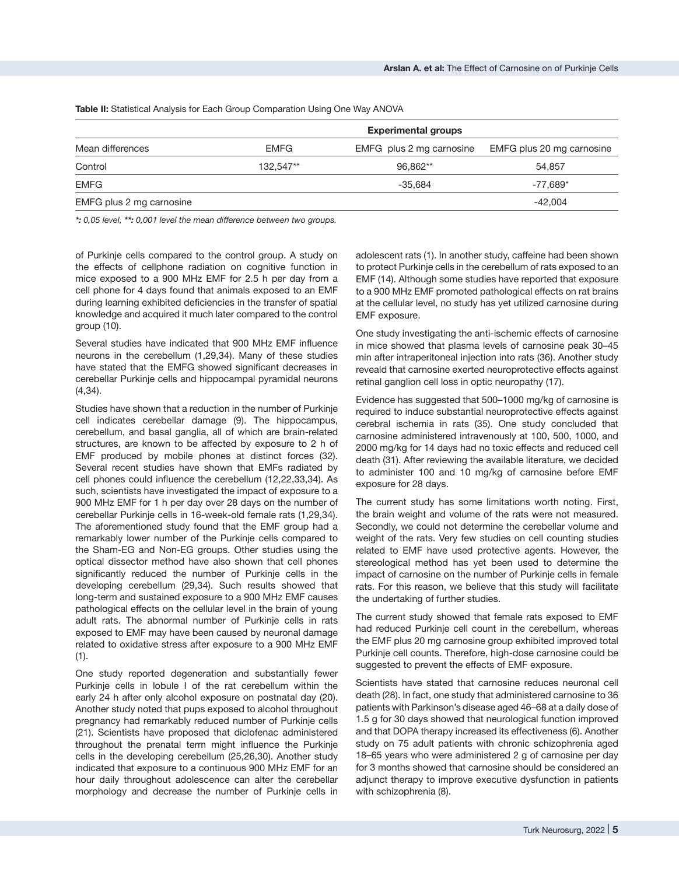|                          | <b>Experimental groups</b> |                          |                           |  |
|--------------------------|----------------------------|--------------------------|---------------------------|--|
|                          |                            |                          |                           |  |
| Mean differences         | <b>EMFG</b>                | EMFG plus 2 mg carnosine | EMFG plus 20 mg carnosine |  |
| Control                  | 132.547**                  | 96.862**                 | 54.857                    |  |
| <b>EMFG</b>              |                            | -35.684                  | $-77.689*$                |  |
| EMFG plus 2 mg carnosine |                            |                          | $-42.004$                 |  |

**Table II:** Statistical Analysis for Each Group Comparation Using One Way ANOVA

*\*: 0,05 level, \*\*: 0,001 level the mean difference between two groups.*

of Purkinje cells compared to the control group. A study on the effects of cellphone radiation on cognitive function in mice exposed to a 900 MHz EMF for 2.5 h per day from a cell phone for 4 days found that animals exposed to an EMF during learning exhibited deficiencies in the transfer of spatial knowledge and acquired it much later compared to the control group (10).

Several studies have indicated that 900 MHz EMF influence neurons in the cerebellum (1,29,34). Many of these studies have stated that the EMFG showed significant decreases in cerebellar Purkinje cells and hippocampal pyramidal neurons (4,34).

Studies have shown that a reduction in the number of Purkinje cell indicates cerebellar damage (9). The hippocampus, cerebellum, and basal ganglia, all of which are brain-related structures, are known to be affected by exposure to 2 h of EMF produced by mobile phones at distinct forces (32). Several recent studies have shown that EMFs radiated by cell phones could influence the cerebellum (12,22,33,34). As such, scientists have investigated the impact of exposure to a 900 MHz EMF for 1 h per day over 28 days on the number of cerebellar Purkinje cells in 16-week-old female rats (1,29,34). The aforementioned study found that the EMF group had a remarkably lower number of the Purkinje cells compared to the Sham-EG and Non-EG groups. Other studies using the optical dissector method have also shown that cell phones significantly reduced the number of Purkinje cells in the developing cerebellum (29,34). Such results showed that long-term and sustained exposure to a 900 MHz EMF causes pathological effects on the cellular level in the brain of young adult rats. The abnormal number of Purkinje cells in rats exposed to EMF may have been caused by neuronal damage related to oxidative stress after exposure to a 900 MHz EMF  $(1).$ 

One study reported degeneration and substantially fewer Purkinje cells in lobule I of the rat cerebellum within the early 24 h after only alcohol exposure on postnatal day (20). Another study noted that pups exposed to alcohol throughout pregnancy had remarkably reduced number of Purkinje cells (21). Scientists have proposed that diclofenac administered throughout the prenatal term might influence the Purkinje cells in the developing cerebellum (25,26,30). Another study indicated that exposure to a continuous 900 MHz EMF for an hour daily throughout adolescence can alter the cerebellar morphology and decrease the number of Purkinje cells in

adolescent rats (1). In another study, caffeine had been shown to protect Purkinje cells in the cerebellum of rats exposed to an EMF (14). Although some studies have reported that exposure to a 900 MHz EMF promoted pathological effects on rat brains at the cellular level, no study has yet utilized carnosine during EMF exposure.

One study investigating the anti-ischemic effects of carnosine in mice showed that plasma levels of carnosine peak 30–45 min after intraperitoneal injection into rats (36). Another study reveald that carnosine exerted neuroprotective effects against retinal ganglion cell loss in optic neuropathy (17).

Evidence has suggested that 500–1000 mg/kg of carnosine is required to induce substantial neuroprotective effects against cerebral ischemia in rats (35). One study concluded that carnosine administered intravenously at 100, 500, 1000, and 2000 mg/kg for 14 days had no toxic effects and reduced cell death (31). After reviewing the available literature, we decided to administer 100 and 10 mg/kg of carnosine before EMF exposure for 28 days.

The current study has some limitations worth noting. First, the brain weight and volume of the rats were not measured. Secondly, we could not determine the cerebellar volume and weight of the rats. Very few studies on cell counting studies related to EMF have used protective agents. However, the stereological method has yet been used to determine the impact of carnosine on the number of Purkinje cells in female rats. For this reason, we believe that this study will facilitate the undertaking of further studies.

The current study showed that female rats exposed to EMF had reduced Purkinje cell count in the cerebellum, whereas the EMF plus 20 mg carnosine group exhibited improved total Purkinje cell counts. Therefore, high-dose carnosine could be suggested to prevent the effects of EMF exposure.

Scientists have stated that carnosine reduces neuronal cell death (28). In fact, one study that administered carnosine to 36 patients with Parkinson's disease aged 46–68 at a daily dose of 1.5 g for 30 days showed that neurological function improved and that DOPA therapy increased its effectiveness (6). Another study on 75 adult patients with chronic schizophrenia aged 18–65 years who were administered 2 g of carnosine per day for 3 months showed that carnosine should be considered an adjunct therapy to improve executive dysfunction in patients with schizophrenia (8).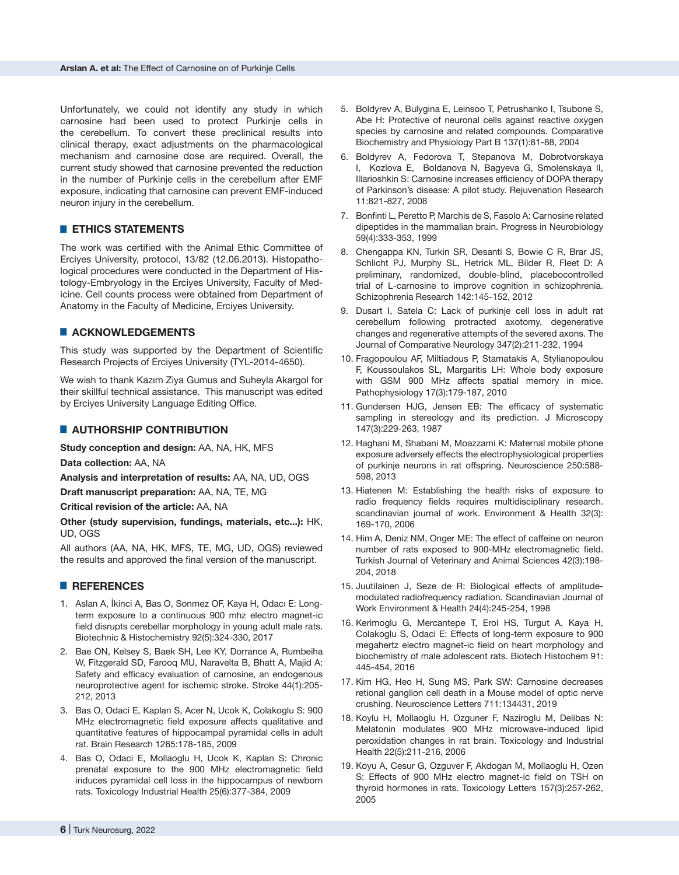Unfortunately, we could not identify any study in which carnosine had been used to protect Purkinje cells in the cerebellum. To convert these preclinical results into clinical therapy, exact adjustments on the pharmacological mechanism and carnosine dose are required. Overall, the current study showed that carnosine prevented the reduction in the number of Purkinje cells in the cerebellum after EMF exposure, indicating that carnosine can prevent EMF-induced neuron injury in the cerebellum.

# **ETHICS STATEMENTS**

The work was certified with the Animal Ethic Committee of Erciyes University, protocol, 13/82 (12.06.2013). Histopathological procedures were conducted in the Department of Histology-Embryology in the Erciyes University, Faculty of Medicine. Cell counts process were obtained from Department of Anatomy in the Faculty of Medicine, Erciyes University.

# █ **ACKNOWLEDGEMENTS**

This study was supported by the Department of Scientific Research Projects of Erciyes University (TYL-2014-4650).

We wish to thank Kazım Ziya Gumus and Suheyla Akargol for their skillful technical assistance. This manuscript was edited by Erciyes University Language Editing Office.

# █ **AUTHORSHIP CONTRIBUTION**

**Study conception and design:** AA, NA, HK, MFS

**Data collection:** AA, NA

**Analysis and interpretation of results:** AA, NA, UD, OGS

**Draft manuscript preparation:** AA, NA, TE, MG

**Critical revision of the article:** AA, NA

**Other (study supervision, fundings, materials, etc...):** HK, UD, OGS

All authors (AA, NA, HK, MFS, TE, MG, UD, OGS) reviewed the results and approved the final version of the manuscript.

## █ **REFERENCES**

- 1. Aslan A, İkinci A, Bas O, Sonmez OF, Kaya H, Odacı E: Longterm exposure to a continuous 900 mhz electro magnet-ic field disrupts cerebellar morphology in young adult male rats. Biotechnic & Histochemistry 92(5):324-330, 2017
- 2. Bae ON, Kelsey S, Baek SH, Lee KY, Dorrance A, Rumbeiha W, Fitzgerald SD, Farooq MU, Naravelta B, Bhatt A, Majid A: Safety and efficacy evaluation of carnosine, an endogenous neuroprotective agent for ischemic stroke. Stroke 44(1):205- 212, 2013
- 3. Bas O, Odaci E, Kaplan S, Acer N, Ucok K, Colakoglu S: 900 MHz electromagnetic field exposure affects qualitative and quantitative features of hippocampal pyramidal cells in adult rat. Brain Research 1265:178-185, 2009
- 4. Bas O, Odaci E, Mollaoglu H, Ucok K, Kaplan S: Chronic prenatal exposure to the 900 MHz electromagnetic field induces pyramidal cell loss in the hippocampus of newborn rats. Toxicology Industrial Health 25(6):377-384, 2009
- 5. Boldyrev A, Bulygina E, Leinsoo T, Petrushanko I, Tsubone S, Abe H: Protective of neuronal cells against reactive oxygen species by carnosine and related compounds. Comparative Biochemistry and Physiology Part B 137(1):81-88, 2004
- 6. Boldyrev A, Fedorova T, Stepanova M, Dobrotvorskaya I, Kozlova E, Boldanova N, Bagyeva G, Smolenskaya II, Illarioshkin S: Carnosine increases efficiency of DOPA therapy of Parkinson's disease: A pilot study. Rejuvenation Research 11:821-827, 2008
- 7. Bonfinti L, Peretto P, Marchis de S, Fasolo A: Carnosine related dipeptides in the mammalian brain. Progress in Neurobiology 59(4):333-353, 1999
- 8. Chengappa KN, Turkin SR, Desanti S, Bowie C R, Brar JS, Schlicht PJ, Murphy SL, Hetrick ML, Bilder R, Fleet D: A preliminary, randomized, double-blind, placebocontrolled trial of L-carnosine to improve cognition in schizophrenia. Schizophrenia Research 142:145-152, 2012
- 9. Dusart I, Satela C: Lack of purkinje cell loss in adult rat cerebellum following protracted axotomy, degenerative changes and regenerative attempts of the severed axons. The Journal of Comparative Neurology 347(2):211-232, 1994
- 10. Fragopoulou AF, Miltiadous P, Stamatakis A, Stylianopoulou F, Koussoulakos SL, Margaritis LH: Whole body exposure with GSM 900 MHz affects spatial memory in mice. Pathophysiology 17(3):179-187, 2010
- 11. Gundersen HJG, Jensen EB: The efficacy of systematic sampling in stereology and its prediction. J Microscopy 147(3):229-263, 1987
- 12. Haghani M, Shabani M, Moazzami K: Maternal mobile phone exposure adversely effects the electrophysiological properties of purkinje neurons in rat offspring. Neuroscience 250:588- 598, 2013
- 13. Hiatenen M: Establishing the health risks of exposure to radio frequency fields requires multidisciplinary research. scandinavian journal of work. Environment & Health 32(3): 169-170, 2006
- 14. Him A, Deniz NM, Onger ME: The effect of caffeine on neuron number of rats exposed to 900-MHz electromagnetic field. Turkish Journal of Veterinary and Animal Sciences 42(3):198- 204, 2018
- 15. Juutilainen J, Seze de R: Biological effects of amplitudemodulated radiofrequency radiation. Scandinavian Journal of Work Environment & Health 24(4):245-254, 1998
- 16. Kerimoglu G, Mercantepe T, Erol HS, Turgut A, Kaya H, Colakoglu S, Odaci E: Effects of long-term exposure to 900 megahertz electro magnet-ic field on heart morphology and biochemistry of male adolescent rats. Biotech Histochem 91: 445-454, 2016
- 17. Kim HG, Heo H, Sung MS, Park SW: Carnosine decreases retional ganglion cell death in a Mouse model of optic nerve crushing. Neuroscience Letters 711:134431, 2019
- 18. Koylu H, Mollaoglu H, Ozguner F, Naziroglu M, Delibas N: Melatonin modulates 900 MHz microwave-induced lipid peroxidation changes in rat brain. Toxicology and Industrial Health 22(5):211-216, 2006
- 19. Koyu A, Cesur G, Ozguver F, Akdogan M, Mollaoglu H, Ozen S: Effects of 900 MHz electro magnet-ic field on TSH on thyroid hormones in rats. Toxicology Letters 157(3):257-262, 2005